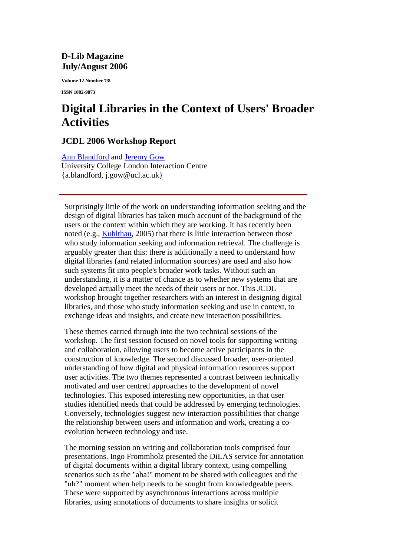## **D-Lib Magazine July/August 2006**

**Volume 12 Number 7/8**

**ISSN 1082-9873**

## **Digital Libraries in the Context of Users' Broader Activities**

## **JCDL 2006 Workshop Report**

Ann Blandford and Jeremy Gow

University College London Interaction Centre {a.blandford, j.gow@ucl.ac.uk}

Surprisingly little of the work on understanding information seeking and the design of digital libraries has taken much account of the background of the users or the context within which they are working. It has recently been noted (e.g., Kuhlthau, 2005) that there is little interaction between those who study information seeking and information retrieval. The challenge is arguably greater than this: there is additionally a need to understand how digital libraries (and related information sources) are used and also how such systems fit into people's broader work tasks. Without such an understanding, it is a matter of chance as to whether new systems that are developed actually meet the needs of their users or not. This JCDL workshop brought together researchers with an interest in designing digital libraries, and those who study information seeking and use in context, to exchange ideas and insights, and create new interaction possibilities.

These themes carried through into the two technical sessions of the workshop. The first session focused on novel tools for supporting writing and collaboration, allowing users to become active participants in the construction of knowledge. The second discussed broader, user-oriented understanding of how digital and physical information resources support user activities. The two themes represented a contrast between technically motivated and user centred approaches to the development of novel technologies. This exposed interesting new opportunities, in that user studies identified needs that could be addressed by emerging technologies. Conversely, technologies suggest new interaction possibilities that change the relationship between users and information and work, creating a coevolution between technology and use.

The morning session on writing and collaboration tools comprised four presentations. Ingo Frommholz presented the DiLAS service for annotation of digital documents within a digital library context, using compelling scenarios such as the "aha!" moment to be shared with colleagues and the "uh?" moment when help needs to be sought from knowledgeable peers. These were supported by asynchronous interactions across multiple libraries, using annotations of documents to share insights or solicit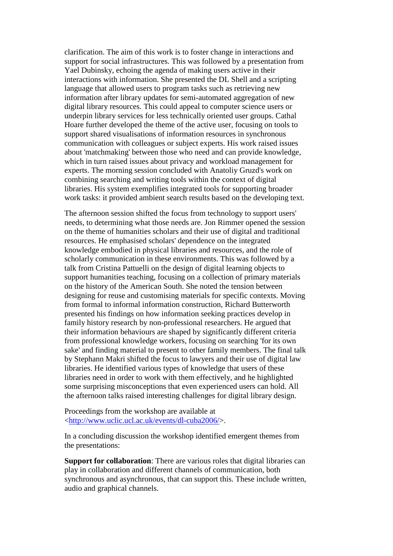clarification. The aim of this work is to foster change in interactions and support for social infrastructures. This was followed by a presentation from Yael Dubinsky, echoing the agenda of making users active in their interactions with information. She presented the DL Shell and a scripting language that allowed users to program tasks such as retrieving new information after library updates for semi-automated aggregation of new digital library resources. This could appeal to computer science users or underpin library services for less technically oriented user groups. Cathal Hoare further developed the theme of the active user, focusing on tools to support shared visualisations of information resources in synchronous communication with colleagues or subject experts. His work raised issues about 'matchmaking' between those who need and can provide knowledge, which in turn raised issues about privacy and workload management for experts. The morning session concluded with Anatoliy Gruzd's work on combining searching and writing tools within the context of digital libraries. His system exemplifies integrated tools for supporting broader work tasks: it provided ambient search results based on the developing text.

The afternoon session shifted the focus from technology to support users' needs, to determining what those needs are. Jon Rimmer opened the session on the theme of humanities scholars and their use of digital and traditional resources. He emphasised scholars' dependence on the integrated knowledge embodied in physical libraries and resources, and the role of scholarly communication in these environments. This was followed by a talk from Cristina Pattuelli on the design of digital learning objects to support humanities teaching, focusing on a collection of primary materials on the history of the American South. She noted the tension between designing for reuse and customising materials for specific contexts. Moving from formal to informal information construction, Richard Butterworth presented his findings on how information seeking practices develop in family history research by non-professional researchers. He argued that their information behaviours are shaped by significantly different criteria from professional knowledge workers, focusing on searching 'for its own sake' and finding material to present to other family members. The final talk by Stephann Makri shifted the focus to lawyers and their use of digital law libraries. He identified various types of knowledge that users of these libraries need in order to work with them effectively, and he highlighted some surprising misconceptions that even experienced users can hold. All the afternoon talks raised interesting challenges for digital library design.

Proceedings from the workshop are available at <http://www.uclic.ucl.ac.uk/events/dl-cuba2006/>.

In a concluding discussion the workshop identified emergent themes from the presentations:

**Support for collaboration**: There are various roles that digital libraries can play in collaboration and different channels of communication, both synchronous and asynchronous, that can support this. These include written, audio and graphical channels.